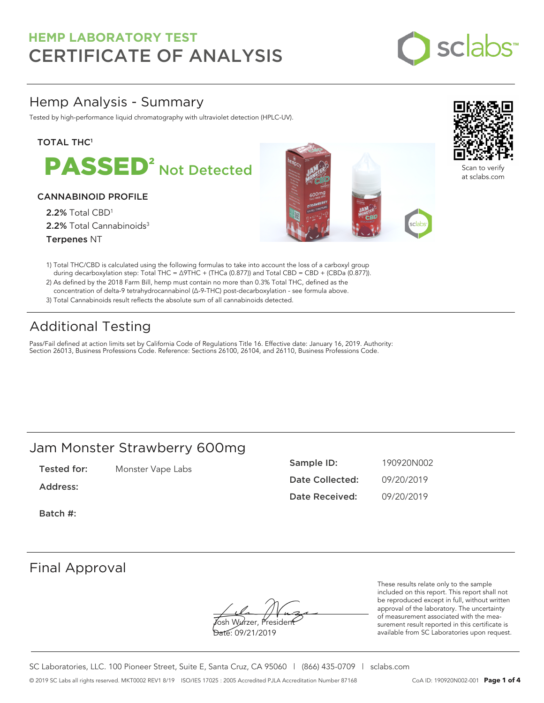

# Hemp Analysis - Summary

Tested by high-performance liquid chromatography with ultraviolet detection (HPLC-UV).

### **TOTAL THC1**

PASSED<sup>2</sup> Not Detected

### CANNABINOID PROFILE

2.2% Total CBD<sup>1</sup> 2.2% Total Cannabinoids<sup>3</sup> Terpenes NT





Scan to verify at sclabs.com

- 1) Total THC/CBD is calculated using the following formulas to take into account the loss of a carboxyl group during decarboxylation step: Total THC = ∆9THC + (THCa (0.877)) and Total CBD = CBD + (CBDa (0.877)).
- 2) As defined by the 2018 Farm Bill, hemp must contain no more than 0.3% Total THC, defined as the concentration of delta-9 tetrahydrocannabinol (Δ-9-THC) post-decarboxylation - see formula above.
- 3) Total Cannabinoids result reflects the absolute sum of all cannabinoids detected.

# Additional Testing

Pass/Fail defined at action limits set by California Code of Regulations Title 16. Effective date: January 16, 2019. Authority: Section 26013, Business Professions Code. Reference: Sections 26100, 26104, and 26110, Business Professions Code.

# Jam Monster Strawberry 600mg

Tested for: Monster Vape Labs

Address:

Sample ID: 190920N002 Date Collected: 09/20/2019 Date Received: 09/20/2019

Batch #:

# Final Approval

**J**osh Wurzer, Presiden<del>t</del> Date: 09/21/2019

These results relate only to the sample included on this report. This report shall not be reproduced except in full, without written approval of the laboratory. The uncertainty of measurement associated with the measurement result reported in this certificate is available from SC Laboratories upon request.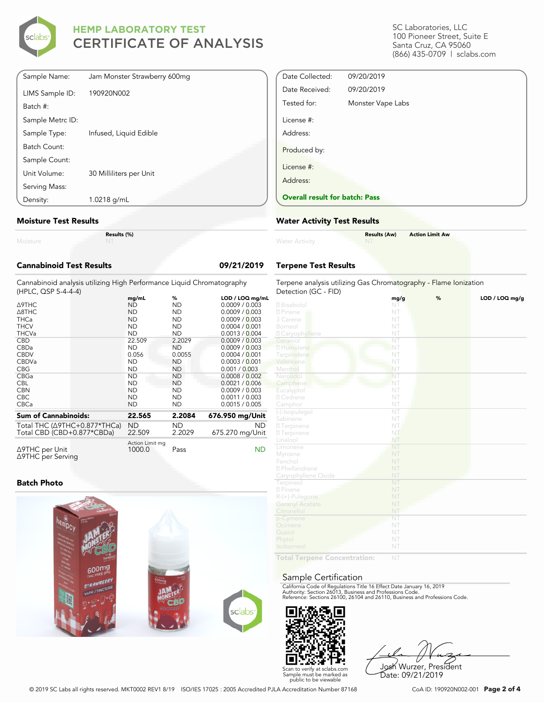

| Sample Name:     | Jam Monster Strawberry 600mg |
|------------------|------------------------------|
|                  |                              |
| LIMS Sample ID:  | 190920N002                   |
| Batch #:         |                              |
| Sample Metrc ID: |                              |
| Sample Type:     | Infused, Liquid Edible       |
| Batch Count:     |                              |
| Sample Count:    |                              |
| Unit Volume:     | 30 Milliliters per Unit      |
| Serving Mass:    |                              |
| Density:         | 1.0218 g/mL                  |

#### **Moisture Test Results**

Moisture

**Results (%)**

| <b>Cannabinoid Test Results</b>                                                              |                           |                     | 09/21/2019            |
|----------------------------------------------------------------------------------------------|---------------------------|---------------------|-----------------------|
| Cannabinoid analysis utilizing High Performance Liquid Chromatography<br>(HPLC, QSP 5-4-4-4) |                           |                     |                       |
|                                                                                              | mg/mL                     | %                   | LOD / LOQ mg/mL       |
| <b>A9THC</b>                                                                                 | <b>ND</b>                 | <b>ND</b>           | 0.0009 / 0.003        |
| A8THC                                                                                        | <b>ND</b>                 | <b>ND</b>           | 0.0009 / 0.003        |
| <b>THCa</b>                                                                                  | <b>ND</b>                 | <b>ND</b>           | 0.0009 / 0.003        |
| <b>THCV</b>                                                                                  | <b>ND</b>                 | <b>ND</b>           | 0.0004 / 0.001        |
| <b>THCVa</b>                                                                                 | <b>ND</b>                 | <b>ND</b>           | 0.0013 / 0.004        |
| <b>CBD</b>                                                                                   | 22.509                    | 2.2029              | 0.0009 / 0.003        |
| CBDa                                                                                         | <b>ND</b>                 | <b>ND</b>           | 0.0009 / 0.003        |
| <b>CBDV</b>                                                                                  | 0.056                     | 0.0055              | 0.0004/0.001          |
| CBDVa                                                                                        | <b>ND</b>                 | <b>ND</b>           | 0.0003 / 0.001        |
| <b>CBG</b>                                                                                   | <b>ND</b>                 | <b>ND</b>           | 0.001 / 0.003         |
| CBGa                                                                                         | <b>ND</b>                 | <b>ND</b>           | 0.0008 / 0.002        |
| <b>CBL</b>                                                                                   | <b>ND</b>                 | <b>ND</b>           | 0.0021 / 0.006        |
| <b>CBN</b>                                                                                   | <b>ND</b>                 | <b>ND</b>           | 0.0009 / 0.003        |
| CBC.                                                                                         | <b>ND</b>                 | <b>ND</b>           | 0.0011 / 0.003        |
| <b>CBCa</b>                                                                                  | <b>ND</b>                 | <b>ND</b>           | 0.0015 / 0.005        |
| <b>Sum of Cannabinoids:</b>                                                                  | 22.565                    | 2.2084              | 676.950 mg/Unit       |
| Total THC (∆9THC+0.877*THCa)<br>Total CBD (CBD+0.877*CBDa)                                   | <b>ND</b><br>22.509       | <b>ND</b><br>2.2029 | ND<br>675.270 mg/Unit |
| ∆9THC per Unit<br>∆9THC per Serving                                                          | Action Limit mg<br>1000.0 | Pass                | ND                    |

#### **Batch Photo**



SC Laboratories, LLC 100 Pioneer Street, Suite E Santa Cruz, CA 95060 (866) 435-0709 | sclabs.com

| Date Collected:                       | 09/20/2019        |
|---------------------------------------|-------------------|
| Date Received:                        | 09/20/2019        |
| Tested for:                           | Monster Vape Labs |
| License #:                            |                   |
| Address:                              |                   |
| Produced by:                          |                   |
| License #:                            |                   |
| Address:                              |                   |
| <b>Overall result for batch: Pass</b> |                   |

#### **Water Activity Test Results**

| <b>Water Activity</b> | <b>Results (Aw)</b><br><b>NT</b> | <b>Action Limit Aw</b> |
|-----------------------|----------------------------------|------------------------|
|                       |                                  |                        |

### **Terpene Test Results**

| Terpene analysis utilizing Gas Chromatography - Flame Ionization<br>Detection (GC - FID) |                        |   |                |
|------------------------------------------------------------------------------------------|------------------------|---|----------------|
|                                                                                          | mg/g                   | % | LOD / LOQ mg/g |
| 2 Bisabolol                                                                              | NT                     |   |                |
| 2 Pinene                                                                                 | NT                     |   |                |
| 3 Carene                                                                                 | NT                     |   |                |
| Borneol                                                                                  | NT                     |   |                |
| <b>Z</b> Caryophyllene                                                                   | NT                     |   |                |
| Geraniol                                                                                 | ÑT                     |   |                |
| 2 Humulene                                                                               | NT                     |   |                |
| Terpinolene                                                                              | NT                     |   |                |
| Valencene                                                                                | NT                     |   |                |
| Menthol                                                                                  | NT                     |   |                |
| Nerolidol                                                                                | NT                     |   |                |
| Camphene                                                                                 | NT                     |   |                |
| Eucalyptol                                                                               | NT                     |   |                |
| 2 Cedrene                                                                                | NT                     |   |                |
| Camphor                                                                                  | NT                     |   |                |
| (-)-Isopulegol                                                                           | $\overline{\text{NT}}$ |   |                |
| Sabinene                                                                                 | NT                     |   |                |
| <b>27</b> Terpinene                                                                      | NT.                    |   |                |
| 2 Terpinene                                                                              | NT                     |   |                |
| Linalool                                                                                 | NT                     |   |                |
| Limonene                                                                                 | NT                     |   |                |
| Myrcene                                                                                  | NT                     |   |                |
| Fenchol                                                                                  | NT                     |   |                |
| 2 Phellandrene                                                                           | NT                     |   |                |
| Caryophyllene Oxide                                                                      | NT                     |   |                |
| Terpineol                                                                                | NT                     |   |                |
| 2 Pinene                                                                                 | NT                     |   |                |
| $R-(+)$ -Pulegone                                                                        | NT                     |   |                |
| <b>Geranyl Acetate</b>                                                                   | NT                     |   |                |
| Citronellol                                                                              | NT                     |   |                |
| p-Cymene                                                                                 | NT                     |   |                |
| Ocimene                                                                                  | NT                     |   |                |
| Guaiol                                                                                   | NT                     |   |                |
| Phytol                                                                                   | NT                     |   |                |
| Isoborneol                                                                               | NT                     |   |                |
| Total Tormono                                                                            | NIT                    |   |                |

**Total Terpene Concentration:**

#### Sample Certification

California Code of Regulations Title 16 Effect Date January 16, 2019<br>Authority: Section 26013, Business and Professions Code.<br>Reference: Sections 26100, 26104 and 26110, Business and Professions Code.



Josh Wurzer, President Date: 09/21/2019

© 2019 SC Labs all rights reserved. MKT0002 REV1 8/19 ISO/IES 17025 : 2005 Accredited PJLA Accreditation Number 87168 CoA ID: 190920N002-001 **Page 2 of 4**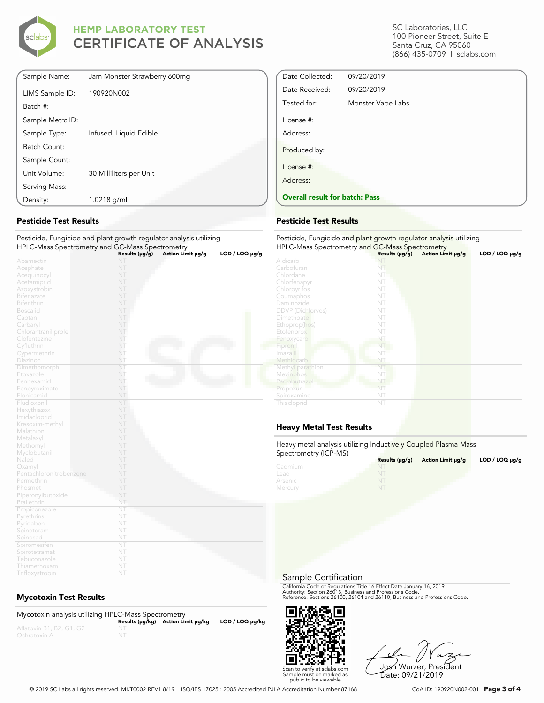

| Sample Name:     | Jam Monster Strawberry 600mg |
|------------------|------------------------------|
| LIMS Sample ID:  | 190920N002                   |
| Batch #:         |                              |
| Sample Metrc ID: |                              |
| Sample Type:     | Infused, Liquid Edible       |
| Batch Count:     |                              |
| Sample Count:    |                              |
| Unit Volume:     | 30 Milliliters per Unit      |
| Serving Mass:    |                              |
| Density:         | 1.0218 g/mL                  |

#### **Pesticide Test Results**

#### Pesticide, Fungicide and plant growth regulator analysis utilizing HPLC-Mass Spectrometry and GC-Mass Spectrometry

|                         | Results (µg/g)         | Action Limit µg/g | $LOD / LOQ \mu g/g$ |
|-------------------------|------------------------|-------------------|---------------------|
| Abamectin               | NT                     |                   |                     |
| Acephate                | NT                     |                   |                     |
| Acequinocyl             | NT                     |                   |                     |
| Acetamiprid             | NT                     |                   |                     |
| Azoxystrobin            | NT                     |                   |                     |
| Bifenazate              | NT                     |                   |                     |
| Bifenthrin              | NT                     |                   |                     |
| <b>Boscalid</b>         | NT                     |                   |                     |
| Captan                  | NT                     |                   |                     |
| Carbaryl                | NT                     |                   |                     |
| Chlorantraniliprole     | NT                     |                   |                     |
| Clofentezine            | NT                     |                   |                     |
| Cyfluthrin              | NT                     |                   |                     |
| Cypermethrin            | NT                     |                   |                     |
| Diazinon                | NT                     |                   |                     |
| Dimethomorph            | NT.                    |                   |                     |
| Etoxazole               | NT                     |                   |                     |
| Fenhexamid              | NT                     |                   |                     |
| Fenpyroximate           | NT                     |                   |                     |
| Flonicamid              | NT                     |                   |                     |
| Fludioxonil             | NT                     |                   |                     |
| Hexythiazox             | NT                     |                   |                     |
| Imidacloprid            | NT                     |                   |                     |
| Kresoxim-methyl         | NT                     |                   |                     |
| Malathion               | NT                     |                   |                     |
| Metalaxyl               | NT                     |                   |                     |
| Methomyl                | NT                     |                   |                     |
| Myclobutanil            | NT                     |                   |                     |
| Naled                   | NT                     |                   |                     |
| Oxamyl                  | NT                     |                   |                     |
| Pentachloronitrobenzene | NT                     |                   |                     |
| Permethrin              | NT                     |                   |                     |
| Phosmet                 | NT                     |                   |                     |
| Piperonylbutoxide       | NT                     |                   |                     |
| Prallethrin             | NT                     |                   |                     |
| Propiconazole           | NT                     |                   |                     |
| Pyrethrins              | NT                     |                   |                     |
| Pyridaben               | NT                     |                   |                     |
| Spinetoram              | NT                     |                   |                     |
| Spinosad                | NT                     |                   |                     |
| Spiromesifen            | $\overline{\text{NT}}$ |                   |                     |
| Spirotetramat           | NT                     |                   |                     |
| Tebuconazole            | NT                     |                   |                     |
| Thiamethoxam            | NT                     |                   |                     |

### **Mycotoxin Test Results**

| Mycotoxin analysis utilizing HPLC-Mass Spectrometry |                                    |                      |
|-----------------------------------------------------|------------------------------------|----------------------|
|                                                     | Results (µq/kq) Action Limit µq/kq | $LOD / LOQ \mu g/kg$ |
| Aflatoxin B1, B2, G1, G2                            |                                    |                      |
| Ochratoxin A                                        |                                    |                      |

SC Laboratories, LLC 100 Pioneer Street, Suite E Santa Cruz, CA 95060 (866) 435-0709 | sclabs.com

| Date Collected:                       | 09/20/2019        |  |
|---------------------------------------|-------------------|--|
| Date Received:                        | 09/20/2019        |  |
| Tested for:                           | Monster Vape Labs |  |
| License #:                            |                   |  |
| Address:                              |                   |  |
| Produced by:                          |                   |  |
| License #:                            |                   |  |
| Address:                              |                   |  |
| <b>Overall result for batch: Pass</b> |                   |  |

#### **Pesticide Test Results**

| Pesticide, Fungicide and plant growth regulator analysis utilizing<br>HPLC-Mass Spectrometry and GC-Mass Spectrometry |                     |                   |                |
|-----------------------------------------------------------------------------------------------------------------------|---------------------|-------------------|----------------|
|                                                                                                                       | Results $(\mu g/g)$ | Action Limit µg/g | LOD / LOQ µg/g |
| Aldicarb                                                                                                              | NI                  |                   |                |
| Carbofuran                                                                                                            | NT                  |                   |                |
| Chlordane                                                                                                             | NT                  |                   |                |
| Chlorfenapyr                                                                                                          | NT                  |                   |                |
| Chlorpyrifos                                                                                                          | NT                  |                   |                |
| Coumaphos                                                                                                             | NT                  |                   |                |
| Daminozide                                                                                                            | NT                  |                   |                |
| <b>DDVP</b> (Dichlorvos)                                                                                              | NT                  |                   |                |
| Dimethoate                                                                                                            | NT                  |                   |                |
| Ethoprop(hos)                                                                                                         | NT                  |                   |                |
| Etofenprox                                                                                                            | NT                  |                   |                |
| Fenoxycarb                                                                                                            | NT                  |                   |                |
| Fipronil                                                                                                              | NT                  |                   |                |
| Imazalil                                                                                                              | NT                  |                   |                |
| Methiocarb                                                                                                            | NT                  |                   |                |
| Methyl parathion                                                                                                      | NT                  |                   |                |
| Mevinphos                                                                                                             | NT                  |                   |                |
| Paclobutrazol                                                                                                         | NT                  |                   |                |
| Propoxur                                                                                                              | NT                  |                   |                |
| Spiroxamine                                                                                                           | NT                  |                   |                |
| Thiacloprid                                                                                                           | NT                  |                   |                |

### **Heavy Metal Test Results**

Heavy metal analysis utilizing Inductively Coupled Plasma Mass Spectrometry (ICP-MS)

| <b>ODCCHOTILELY (IOT -IVIO)</b> | Results $(\mu g/g)$ | Action Limit µq/q | LOD / LOQ $\mu$ g/g |
|---------------------------------|---------------------|-------------------|---------------------|
| Cadmium                         | NT                  |                   |                     |
| Lead                            |                     |                   |                     |
| Arsenic                         | NT                  |                   |                     |
| Mercury                         | NT                  |                   |                     |

Sample Certification

California Code of Regulations Title 16 Effect Date January 16, 2019<br>Authority: Section 26013, Business and Professions Code.<br>Reference: Sections 26100, 26104 and 26110, Business and Professions Code.



Josh Wurzer, President Date: 09/21/2019

© 2019 SC Labs all rights reserved. MKT0002 REV1 8/19 ISO/IES 17025 : 2005 Accredited PJLA Accreditation Number 87168 CoA ID: 190920N002-001 **Page 3 of 4**